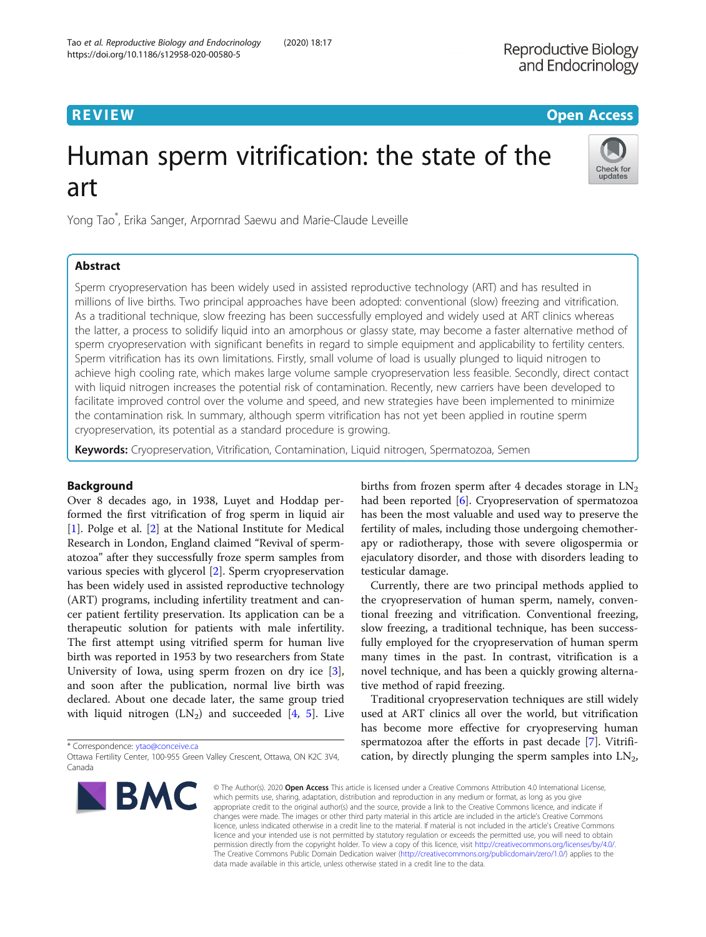# **REVIEW CONTROL** CONTROL CONTROL CONTROL CONTROL CONTROL CONTROL CONTROL CONTROL CONTROL CONTROL CONTROL CONTROL

# Human sperm vitrification: the state of the art

Yong Tao\* , Erika Sanger, Arpornrad Saewu and Marie-Claude Leveille

## Abstract

Check for

updates

Sperm cryopreservation has been widely used in assisted reproductive technology (ART) and has resulted in millions of live births. Two principal approaches have been adopted: conventional (slow) freezing and vitrification. As a traditional technique, slow freezing has been successfully employed and widely used at ART clinics whereas the latter, a process to solidify liquid into an amorphous or glassy state, may become a faster alternative method of sperm cryopreservation with significant benefits in regard to simple equipment and applicability to fertility centers. Sperm vitrification has its own limitations. Firstly, small volume of load is usually plunged to liquid nitrogen to achieve high cooling rate, which makes large volume sample cryopreservation less feasible. Secondly, direct contact with liquid nitrogen increases the potential risk of contamination. Recently, new carriers have been developed to facilitate improved control over the volume and speed, and new strategies have been implemented to minimize the contamination risk. In summary, although sperm vitrification has not yet been applied in routine sperm cryopreservation, its potential as a standard procedure is growing.

Keywords: Cryopreservation, Vitrification, Contamination, Liquid nitrogen, Spermatozoa, Semen

### Background

Over 8 decades ago, in 1938, Luyet and Hoddap performed the first vitrification of frog sperm in liquid air [[1\]](#page-8-0). Polge et al. [[2\]](#page-8-0) at the National Institute for Medical Research in London, England claimed "Revival of spermatozoa" after they successfully froze sperm samples from various species with glycerol [[2\]](#page-8-0). Sperm cryopreservation has been widely used in assisted reproductive technology (ART) programs, including infertility treatment and cancer patient fertility preservation. Its application can be a therapeutic solution for patients with male infertility. The first attempt using vitrified sperm for human live birth was reported in 1953 by two researchers from State University of Iowa, using sperm frozen on dry ice [\[3](#page-8-0)], and soon after the publication, normal live birth was declared. About one decade later, the same group tried with liquid nitrogen  $(LN_2)$  and succeeded [\[4,](#page-8-0) [5](#page-8-0)]. Live

\* Correspondence: [ytao@conceive.ca](mailto:ytao@conceive.ca)

Ottawa Fertility Center, 100-955 Green Valley Crescent, Ottawa, ON K2C 3V4, Canada



births from frozen sperm after 4 decades storage in  $LN<sub>2</sub>$ had been reported [[6\]](#page-8-0). Cryopreservation of spermatozoa has been the most valuable and used way to preserve the fertility of males, including those undergoing chemotherapy or radiotherapy, those with severe oligospermia or ejaculatory disorder, and those with disorders leading to testicular damage.

Currently, there are two principal methods applied to the cryopreservation of human sperm, namely, conventional freezing and vitrification. Conventional freezing, slow freezing, a traditional technique, has been successfully employed for the cryopreservation of human sperm many times in the past. In contrast, vitrification is a novel technique, and has been a quickly growing alternative method of rapid freezing.

Traditional cryopreservation techniques are still widely used at ART clinics all over the world, but vitrification has become more effective for cryopreserving human spermatozoa after the efforts in past decade [[7\]](#page-8-0). Vitrification, by directly plunging the sperm samples into  $LN_2$ ,

© The Author(s), 2020 **Open Access** This article is licensed under a Creative Commons Attribution 4.0 International License, which permits use, sharing, adaptation, distribution and reproduction in any medium or format, as long as you give appropriate credit to the original author(s) and the source, provide a link to the Creative Commons licence, and indicate if changes were made. The images or other third party material in this article are included in the article's Creative Commons licence, unless indicated otherwise in a credit line to the material. If material is not included in the article's Creative Commons licence and your intended use is not permitted by statutory regulation or exceeds the permitted use, you will need to obtain permission directly from the copyright holder. To view a copy of this licence, visit [http://creativecommons.org/licenses/by/4.0/.](http://creativecommons.org/licenses/by/4.0/) The Creative Commons Public Domain Dedication waiver [\(http://creativecommons.org/publicdomain/zero/1.0/](http://creativecommons.org/publicdomain/zero/1.0/)) applies to the data made available in this article, unless otherwise stated in a credit line to the data.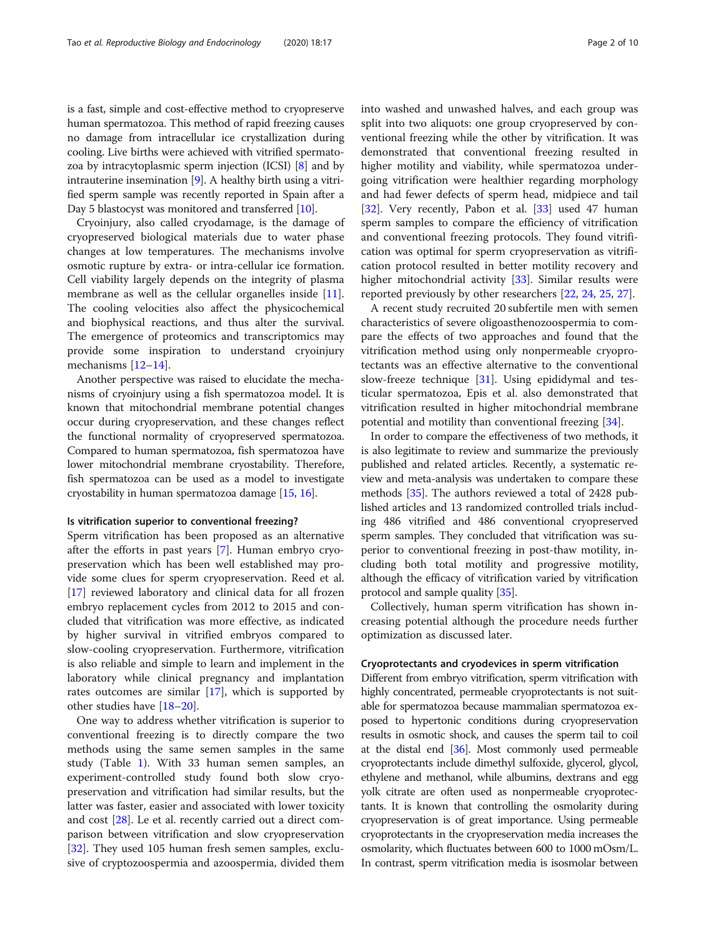is a fast, simple and cost-effective method to cryopreserve human spermatozoa. This method of rapid freezing causes no damage from intracellular ice crystallization during cooling. Live births were achieved with vitrified spermatozoa by intracytoplasmic sperm injection (ICSI) [[8\]](#page-8-0) and by intrauterine insemination [\[9\]](#page-8-0). A healthy birth using a vitri-

Day 5 blastocyst was monitored and transferred [\[10\]](#page-8-0). Cryoinjury, also called cryodamage, is the damage of cryopreserved biological materials due to water phase changes at low temperatures. The mechanisms involve osmotic rupture by extra- or intra-cellular ice formation. Cell viability largely depends on the integrity of plasma membrane as well as the cellular organelles inside [\[11](#page-8-0)]. The cooling velocities also affect the physicochemical and biophysical reactions, and thus alter the survival. The emergence of proteomics and transcriptomics may provide some inspiration to understand cryoinjury mechanisms [\[12](#page-8-0)–[14\]](#page-8-0).

fied sperm sample was recently reported in Spain after a

Another perspective was raised to elucidate the mechanisms of cryoinjury using a fish spermatozoa model. It is known that mitochondrial membrane potential changes occur during cryopreservation, and these changes reflect the functional normality of cryopreserved spermatozoa. Compared to human spermatozoa, fish spermatozoa have lower mitochondrial membrane cryostability. Therefore, fish spermatozoa can be used as a model to investigate cryostability in human spermatozoa damage [[15](#page-8-0), [16\]](#page-8-0).

#### Is vitrification superior to conventional freezing?

Sperm vitrification has been proposed as an alternative after the efforts in past years [[7\]](#page-8-0). Human embryo cryopreservation which has been well established may provide some clues for sperm cryopreservation. Reed et al. [[17\]](#page-8-0) reviewed laboratory and clinical data for all frozen embryo replacement cycles from 2012 to 2015 and concluded that vitrification was more effective, as indicated by higher survival in vitrified embryos compared to slow-cooling cryopreservation. Furthermore, vitrification is also reliable and simple to learn and implement in the laboratory while clinical pregnancy and implantation rates outcomes are similar [\[17](#page-8-0)], which is supported by other studies have [\[18](#page-8-0)–[20\]](#page-8-0).

One way to address whether vitrification is superior to conventional freezing is to directly compare the two methods using the same semen samples in the same study (Table [1](#page-2-0)). With 33 human semen samples, an experiment-controlled study found both slow cryopreservation and vitrification had similar results, but the latter was faster, easier and associated with lower toxicity and cost [[28](#page-8-0)]. Le et al. recently carried out a direct comparison between vitrification and slow cryopreservation [[32\]](#page-8-0). They used 105 human fresh semen samples, exclusive of cryptozoospermia and azoospermia, divided them into washed and unwashed halves, and each group was split into two aliquots: one group cryopreserved by conventional freezing while the other by vitrification. It was demonstrated that conventional freezing resulted in higher motility and viability, while spermatozoa undergoing vitrification were healthier regarding morphology and had fewer defects of sperm head, midpiece and tail [[32\]](#page-8-0). Very recently, Pabon et al. [\[33\]](#page-8-0) used 47 human sperm samples to compare the efficiency of vitrification and conventional freezing protocols. They found vitrification was optimal for sperm cryopreservation as vitrification protocol resulted in better motility recovery and higher mitochondrial activity [[33](#page-8-0)]. Similar results were reported previously by other researchers [\[22,](#page-8-0) [24,](#page-8-0) [25,](#page-8-0) [27\]](#page-8-0).

A recent study recruited 20 subfertile men with semen characteristics of severe oligoasthenozoospermia to compare the effects of two approaches and found that the vitrification method using only nonpermeable cryoprotectants was an effective alternative to the conventional slow-freeze technique [\[31](#page-8-0)]. Using epididymal and testicular spermatozoa, Epis et al. also demonstrated that vitrification resulted in higher mitochondrial membrane potential and motility than conventional freezing [\[34](#page-8-0)].

In order to compare the effectiveness of two methods, it is also legitimate to review and summarize the previously published and related articles. Recently, a systematic review and meta-analysis was undertaken to compare these methods [[35\]](#page-8-0). The authors reviewed a total of 2428 published articles and 13 randomized controlled trials including 486 vitrified and 486 conventional cryopreserved sperm samples. They concluded that vitrification was superior to conventional freezing in post-thaw motility, including both total motility and progressive motility, although the efficacy of vitrification varied by vitrification protocol and sample quality [[35](#page-8-0)].

Collectively, human sperm vitrification has shown increasing potential although the procedure needs further optimization as discussed later.

#### Cryoprotectants and cryodevices in sperm vitrification

Different from embryo vitrification, sperm vitrification with highly concentrated, permeable cryoprotectants is not suitable for spermatozoa because mammalian spermatozoa exposed to hypertonic conditions during cryopreservation results in osmotic shock, and causes the sperm tail to coil at the distal end [[36](#page-9-0)]. Most commonly used permeable cryoprotectants include dimethyl sulfoxide, glycerol, glycol, ethylene and methanol, while albumins, dextrans and egg yolk citrate are often used as nonpermeable cryoprotectants. It is known that controlling the osmolarity during cryopreservation is of great importance. Using permeable cryoprotectants in the cryopreservation media increases the osmolarity, which fluctuates between 600 to 1000 mOsm/L. In contrast, sperm vitrification media is isosmolar between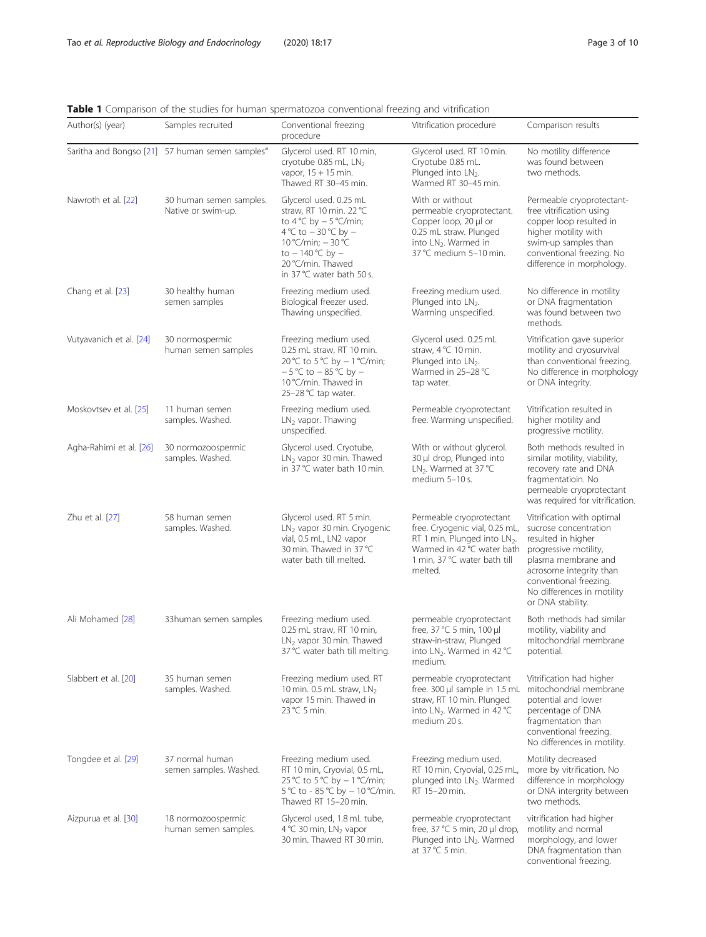conventional freezing.

<span id="page-2-0"></span>

|  |  |  | <b>Table 1</b> Comparison of the studies for human spermatozoa conventional freezing and vitrification |  |  |
|--|--|--|--------------------------------------------------------------------------------------------------------|--|--|
|  |  |  |                                                                                                        |  |  |

| Author(s) (year)        | Samples recruited                                           | Conventional freezing<br>procedure                                                                                                                                                                                              | Vitrification procedure                                                                                                                                                         | Comparison results                                                                                                                                                                                                                |
|-------------------------|-------------------------------------------------------------|---------------------------------------------------------------------------------------------------------------------------------------------------------------------------------------------------------------------------------|---------------------------------------------------------------------------------------------------------------------------------------------------------------------------------|-----------------------------------------------------------------------------------------------------------------------------------------------------------------------------------------------------------------------------------|
|                         | Saritha and Bongso [21] 57 human semen samples <sup>a</sup> | Glycerol used. RT 10 min,<br>cryotube 0.85 mL, LN2<br>vapor, $15 + 15$ min.<br>Thawed RT 30-45 min.                                                                                                                             | Glycerol used. RT 10 min.<br>Cryotube 0.85 mL.<br>Plunged into LN <sub>2</sub> .<br>Warmed RT 30-45 min.                                                                        | No motility difference<br>was found between<br>two methods.                                                                                                                                                                       |
| Nawroth et al. [22]     | 30 human semen samples.<br>Native or swim-up.               | Glycerol used. 0.25 mL<br>straw, RT 10 min. 22 °C<br>to $4^{\circ}$ C by $-5^{\circ}$ C/min;<br>4 °C to $-$ 30 °C by $-$<br>10 °C/min; $-30$ °C<br>to $-140^{\circ}$ C by $-$<br>20 °C/min. Thawed<br>in 37 °C water bath 50 s. | With or without<br>permeable cryoprotectant.<br>Copper loop, 20 µl or<br>0.25 mL straw. Plunged<br>into LN <sub>2</sub> . Warmed in<br>37 °C medium 5-10 min.                   | Permeable cryoprotectant-<br>free vitrification using<br>copper loop resulted in<br>higher motility with<br>swim-up samples than<br>conventional freezing. No<br>difference in morphology.                                        |
| Chang et al. [23]       | 30 healthy human<br>semen samples                           | Freezing medium used.<br>Biological freezer used.<br>Thawing unspecified.                                                                                                                                                       | Freezing medium used.<br>Plunged into LN <sub>2</sub> .<br>Warming unspecified.                                                                                                 | No difference in motility<br>or DNA fragmentation<br>was found between two<br>methods.                                                                                                                                            |
| Vutyavanich et al. [24] | 30 normospermic<br>human semen samples                      | Freezing medium used.<br>0.25 mL straw, RT 10 min.<br>20 °C to 5 °C by − 1 °C/min;<br>$-5^{\circ}$ C to $-85^{\circ}$ C by $-$<br>10 °C/min. Thawed in<br>25-28 °C tap water.                                                   | Glycerol used. 0.25 mL<br>straw, 4 °C 10 min.<br>Plunged into LN2.<br>Warmed in 25-28 °C<br>tap water.                                                                          | Vitrification gave superior<br>motility and cryosurvival<br>than conventional freezing.<br>No difference in morphology<br>or DNA integrity.                                                                                       |
| Moskovtsev et al. [25]  | 11 human semen<br>samples. Washed.                          | Freezing medium used.<br>$LN2$ vapor. Thawing<br>unspecified.                                                                                                                                                                   | Permeable cryoprotectant<br>free. Warming unspecified.                                                                                                                          | Vitrification resulted in<br>higher motility and<br>progressive motility.                                                                                                                                                         |
| Agha-Rahimi et al. [26] | 30 normozoospermic<br>samples. Washed.                      | Glycerol used. Cryotube,<br>$LN2$ vapor 30 min. Thawed<br>in 37 °C water bath 10 min.                                                                                                                                           | With or without glycerol.<br>30 µl drop, Plunged into<br>LN <sub>2</sub> . Warmed at 37 °C<br>medium 5-10 s.                                                                    | Both methods resulted in<br>similar motility, viability,<br>recovery rate and DNA<br>fragmentatioin. No<br>permeable cryoprotectant<br>was required for vitrification.                                                            |
| Zhu et al. [27]         | 58 human semen<br>samples. Washed.                          | Glycerol used. RT 5 min.<br>LN <sub>2</sub> vapor 30 min. Cryogenic<br>vial, 0.5 mL, LN2 vapor<br>30 min. Thawed in 37 °C<br>water bath till melted.                                                                            | Permeable cryoprotectant<br>free. Cryogenic vial, 0.25 mL,<br>RT 1 min. Plunged into LN <sub>2</sub> .<br>Warmed in 42 °C water bath<br>1 min, 37 °C water bath till<br>melted. | Vitrification with optimal<br>sucrose concentration<br>resulted in higher<br>progressive motility,<br>plasma membrane and<br>acrosome integrity than<br>conventional freezing.<br>No differences in motility<br>or DNA stability. |
| Ali Mohamed [28]        | 33 human semen samples                                      | Freezing medium used.<br>0.25 mL straw, RT 10 min,<br>$LN2$ vapor 30 min. Thawed<br>37 °C water bath till melting.                                                                                                              | permeable cryoprotectant<br>free, $37^{\circ}$ C 5 min, $100 \mu$<br>straw-in-straw, Plunged<br>into LN <sub>2</sub> . Warmed in 42 °C<br>medium.                               | Both methods had similar<br>motility, viability and<br>mitochondrial membrane<br>potential.                                                                                                                                       |
| Slabbert et al. [20]    | 35 human semen<br>samples. Washed.                          | Freezing medium used. RT<br>10 min. 0.5 mL straw, $LN2$<br>vapor 15 min. Thawed in<br>23 °C 5 min.                                                                                                                              | permeable cryoprotectant<br>free. 300 µl sample in 1.5 mL<br>straw, RT 10 min. Plunged<br>into LN <sub>2</sub> . Warmed in 42 °C<br>medium 20 s.                                | Vitrification had higher<br>mitochondrial membrane<br>potential and lower<br>percentage of DNA<br>fragmentation than<br>conventional freezing.<br>No differences in motility.                                                     |
| Tongdee et al. [29]     | 37 normal human<br>semen samples. Washed.                   | Freezing medium used.<br>RT 10 min, Cryovial, 0.5 mL,<br>25 °C to 5 °C by $-1$ °C/min;<br>5 °C to - 85 °C by - 10 °C/min.<br>Thawed RT 15-20 min.                                                                               | Freezing medium used.<br>RT 10 min, Cryovial, 0.25 mL,<br>plunged into LN2. Warmed<br>RT 15-20 min.                                                                             | Motility decreased<br>more by vitrification. No<br>difference in morphology<br>or DNA intergrity between<br>two methods.                                                                                                          |
| Aizpurua et al. [30]    | 18 normozoospermic<br>human semen samples.                  | Glycerol used, 1.8 mL tube,<br>4 °C 30 min, LN <sub>2</sub> vapor<br>30 min. Thawed RT 30 min.                                                                                                                                  | permeable cryoprotectant<br>free, 37 °C 5 min, 20 µl drop,<br>Plunged into LN <sub>2</sub> . Warmed<br>at $37^{\circ}$ C 5 min.                                                 | vitrification had higher<br>motility and normal<br>morphology, and lower<br>DNA fragmentation than                                                                                                                                |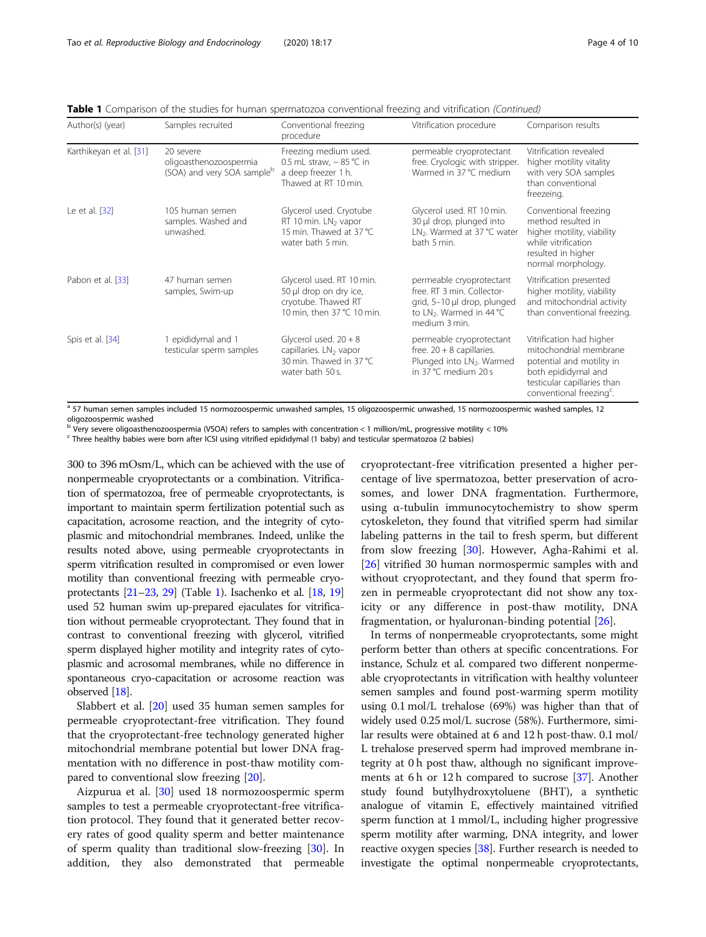| Author(s) (year)        | Samples recruited                                                 | Conventional freezing<br>procedure                                                                           | Vitrification procedure                                                                                                               | Comparison results                                                                                                                                                            |
|-------------------------|-------------------------------------------------------------------|--------------------------------------------------------------------------------------------------------------|---------------------------------------------------------------------------------------------------------------------------------------|-------------------------------------------------------------------------------------------------------------------------------------------------------------------------------|
| Karthikeyan et al. [31] | 20 severe<br>oligoasthenozoospermia<br>(SOA) and very SOA sampleb | Freezing medium used.<br>0.5 mL straw, $-85$ °C in<br>a deep freezer 1 h.<br>Thawed at RT 10 min.            | permeable cryoprotectant<br>free. Cryologic with stripper.<br>Warmed in 37 °C medium                                                  | Vitrification revealed<br>higher motility vitality<br>with very SOA samples<br>than conventional<br>freezeing.                                                                |
| Le et al. [32]          | 105 human semen<br>samples. Washed and<br>unwashed.               | Glycerol used. Cryotube<br>RT 10 min. LN <sub>2</sub> vapor<br>15 min. Thawed at 37 °C<br>water bath 5 min.  | Glycerol used. RT 10 min.<br>30 µl drop, plunged into<br>LN <sub>2</sub> . Warmed at 37 °C water<br>bath 5 min.                       | Conventional freezing<br>method resulted in<br>higher motility, viability<br>while vitrification<br>resulted in higher<br>normal morphology.                                  |
| Pabon et al. [33]       | 47 human semen<br>samples, Swim-up                                | Glycerol used. RT 10 min.<br>50 µl drop on dry ice,<br>cryotube. Thawed RT<br>10 min, then 37 °C 10 min.     | permeable cryoprotectant<br>free, RT 3 min. Collector-<br>grid, 5-10 µl drop, plunged<br>to $LN_2$ . Warmed in 44 °C<br>medium 3 min. | Vitrification presented<br>higher motility, viability<br>and mitochondrial activity<br>than conventional freezing.                                                            |
| Spis et al. [34]        | 1 epididymal and 1<br>testicular sperm samples                    | Glycerol used. $20 + 8$<br>capillaries. LN <sub>2</sub> vapor<br>30 min. Thawed in 37 °C<br>water bath 50 s. | permeable cryoprotectant<br>free. $20 + 8$ capillaries.<br>Plunged into LN <sub>2</sub> . Warmed<br>in 37 °C medium 20 s              | Vitrification had higher<br>mitochondrial membrane<br>potential and motility in<br>both epididymal and<br>testicular capillaries than<br>conventional freezing <sup>c</sup> . |

Table 1 Comparison of the studies for human spermatozoa conventional freezing and vitrification (Continued)

a 57 human semen samples included 15 normozoospermic unwashed samples, 15 oligozoospermic unwashed, 15 normozoospermic washed samples, 12

oligozoospermic washed<br><sup>b</sup> Very severe oligoasthenozoospermia (VSOA) refers to samples with concentration < 1 million/mL, progressive motility < 10%

 $c$  Three healthy babies were born after ICSI using vitrified epididymal (1 baby) and testicular spermatozoa (2 babies)

300 to 396 mOsm/L, which can be achieved with the use of nonpermeable cryoprotectants or a combination. Vitrification of spermatozoa, free of permeable cryoprotectants, is important to maintain sperm fertilization potential such as capacitation, acrosome reaction, and the integrity of cytoplasmic and mitochondrial membranes. Indeed, unlike the results noted above, using permeable cryoprotectants in sperm vitrification resulted in compromised or even lower motility than conventional freezing with permeable cryoprotectants [\[21](#page-8-0)–[23,](#page-8-0) [29](#page-8-0)] (Table [1](#page-2-0)). Isachenko et al. [\[18](#page-8-0), [19](#page-8-0)] used 52 human swim up-prepared ejaculates for vitrification without permeable cryoprotectant. They found that in contrast to conventional freezing with glycerol, vitrified sperm displayed higher motility and integrity rates of cytoplasmic and acrosomal membranes, while no difference in spontaneous cryo-capacitation or acrosome reaction was observed [\[18](#page-8-0)].

Slabbert et al. [[20\]](#page-8-0) used 35 human semen samples for permeable cryoprotectant-free vitrification. They found that the cryoprotectant-free technology generated higher mitochondrial membrane potential but lower DNA fragmentation with no difference in post-thaw motility compared to conventional slow freezing [[20\]](#page-8-0).

Aizpurua et al. [[30\]](#page-8-0) used 18 normozoospermic sperm samples to test a permeable cryoprotectant-free vitrification protocol. They found that it generated better recovery rates of good quality sperm and better maintenance of sperm quality than traditional slow-freezing [\[30](#page-8-0)]. In addition, they also demonstrated that permeable

cryoprotectant-free vitrification presented a higher percentage of live spermatozoa, better preservation of acrosomes, and lower DNA fragmentation. Furthermore, using α-tubulin immunocytochemistry to show sperm cytoskeleton, they found that vitrified sperm had similar labeling patterns in the tail to fresh sperm, but different from slow freezing [[30](#page-8-0)]. However, Agha-Rahimi et al. [[26\]](#page-8-0) vitrified 30 human normospermic samples with and without cryoprotectant, and they found that sperm frozen in permeable cryoprotectant did not show any toxicity or any difference in post-thaw motility, DNA fragmentation, or hyaluronan-binding potential [[26](#page-8-0)].

In terms of nonpermeable cryoprotectants, some might perform better than others at specific concentrations. For instance, Schulz et al. compared two different nonpermeable cryoprotectants in vitrification with healthy volunteer semen samples and found post-warming sperm motility using 0.1 mol/L trehalose (69%) was higher than that of widely used 0.25 mol/L sucrose (58%). Furthermore, similar results were obtained at 6 and 12 h post-thaw. 0.1 mol/ L trehalose preserved sperm had improved membrane integrity at 0 h post thaw, although no significant improvements at 6 h or 12 h compared to sucrose  $[37]$  $[37]$ . Another study found butylhydroxytoluene (BHT), a synthetic analogue of vitamin E, effectively maintained vitrified sperm function at 1 mmol/L, including higher progressive sperm motility after warming, DNA integrity, and lower reactive oxygen species [\[38\]](#page-9-0). Further research is needed to investigate the optimal nonpermeable cryoprotectants,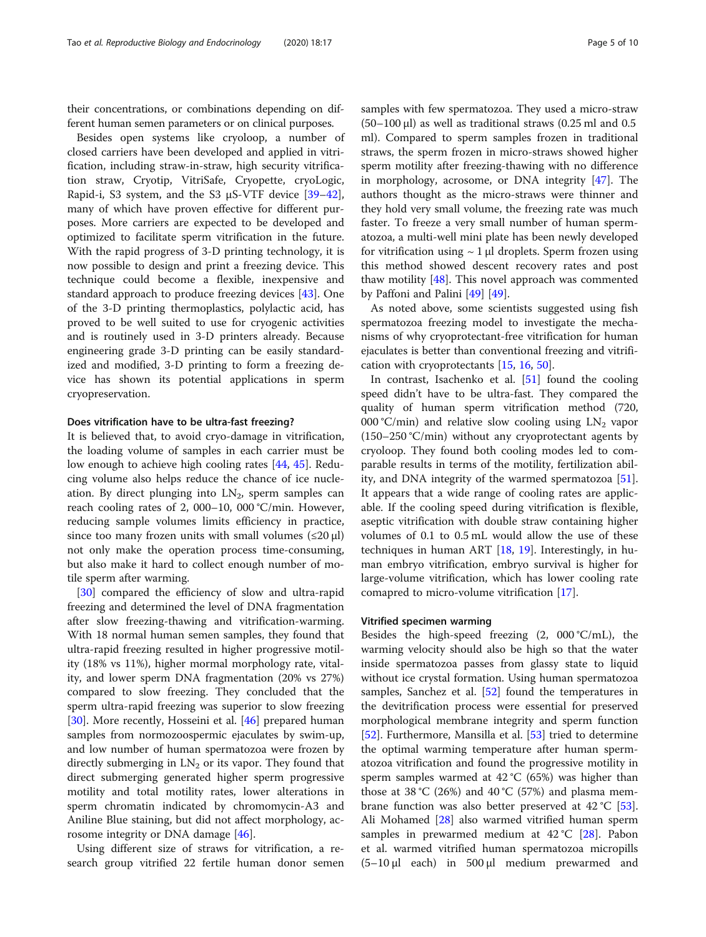their concentrations, or combinations depending on different human semen parameters or on clinical purposes.

Besides open systems like cryoloop, a number of closed carriers have been developed and applied in vitrification, including straw-in-straw, high security vitrification straw, Cryotip, VitriSafe, Cryopette, cryoLogic, Rapid-i, S3 system, and the S3  $\mu$ S-VTF device [[39](#page-9-0)–[42](#page-9-0)], many of which have proven effective for different purposes. More carriers are expected to be developed and optimized to facilitate sperm vitrification in the future. With the rapid progress of 3-D printing technology, it is now possible to design and print a freezing device. This technique could become a flexible, inexpensive and standard approach to produce freezing devices [[43\]](#page-9-0). One of the 3-D printing thermoplastics, polylactic acid, has proved to be well suited to use for cryogenic activities and is routinely used in 3-D printers already. Because engineering grade 3-D printing can be easily standardized and modified, 3-D printing to form a freezing device has shown its potential applications in sperm cryopreservation.

#### Does vitrification have to be ultra-fast freezing?

It is believed that, to avoid cryo-damage in vitrification, the loading volume of samples in each carrier must be low enough to achieve high cooling rates [\[44](#page-9-0), [45](#page-9-0)]. Reducing volume also helps reduce the chance of ice nucleation. By direct plunging into  $LN_2$ , sperm samples can reach cooling rates of 2, 000–10, 000 °C/min. However, reducing sample volumes limits efficiency in practice, since too many frozen units with small volumes  $(\leq 20 \mu l)$ not only make the operation process time-consuming, but also make it hard to collect enough number of motile sperm after warming.

[[30\]](#page-8-0) compared the efficiency of slow and ultra-rapid freezing and determined the level of DNA fragmentation after slow freezing-thawing and vitrification-warming. With 18 normal human semen samples, they found that ultra-rapid freezing resulted in higher progressive motility (18% vs 11%), higher mormal morphology rate, vitality, and lower sperm DNA fragmentation (20% vs 27%) compared to slow freezing. They concluded that the sperm ultra-rapid freezing was superior to slow freezing [[30\]](#page-8-0). More recently, Hosseini et al. [\[46](#page-9-0)] prepared human samples from normozoospermic ejaculates by swim-up, and low number of human spermatozoa were frozen by directly submerging in  $LN<sub>2</sub>$  or its vapor. They found that direct submerging generated higher sperm progressive motility and total motility rates, lower alterations in sperm chromatin indicated by chromomycin-A3 and Aniline Blue staining, but did not affect morphology, acrosome integrity or DNA damage [[46](#page-9-0)].

Using different size of straws for vitrification, a research group vitrified 22 fertile human donor semen samples with few spermatozoa. They used a micro-straw  $(50-100 \,\mu$ ) as well as traditional straws  $(0.25 \,\text{ml}$  and  $0.5 \,\text{m}$ ml). Compared to sperm samples frozen in traditional straws, the sperm frozen in micro-straws showed higher sperm motility after freezing-thawing with no difference in morphology, acrosome, or DNA integrity [\[47](#page-9-0)]. The authors thought as the micro-straws were thinner and they hold very small volume, the freezing rate was much faster. To freeze a very small number of human spermatozoa, a multi-well mini plate has been newly developed for vitrification using  $\sim 1$  µl droplets. Sperm frozen using this method showed descent recovery rates and post thaw motility [[48\]](#page-9-0). This novel approach was commented by Paffoni and Palini [[49\]](#page-9-0) [\[49\]](#page-9-0).

As noted above, some scientists suggested using fish spermatozoa freezing model to investigate the mechanisms of why cryoprotectant-free vitrification for human ejaculates is better than conventional freezing and vitrification with cryoprotectants [\[15,](#page-8-0) [16,](#page-8-0) [50\]](#page-9-0).

In contrast, Isachenko et al. [\[51](#page-9-0)] found the cooling speed didn't have to be ultra-fast. They compared the quality of human sperm vitrification method (720, 000 °C/min) and relative slow cooling using  $LN_2$  vapor (150–250 °C/min) without any cryoprotectant agents by cryoloop. They found both cooling modes led to comparable results in terms of the motility, fertilization ability, and DNA integrity of the warmed spermatozoa [\[51](#page-9-0)]. It appears that a wide range of cooling rates are applicable. If the cooling speed during vitrification is flexible, aseptic vitrification with double straw containing higher volumes of 0.1 to 0.5 mL would allow the use of these techniques in human ART [\[18,](#page-8-0) [19](#page-8-0)]. Interestingly, in human embryo vitrification, embryo survival is higher for large-volume vitrification, which has lower cooling rate comapred to micro-volume vitrification [\[17\]](#page-8-0).

#### Vitrified specimen warming

Besides the high-speed freezing  $(2, 000 \degree C/mL)$ , the warming velocity should also be high so that the water inside spermatozoa passes from glassy state to liquid without ice crystal formation. Using human spermatozoa samples, Sanchez et al. [[52](#page-9-0)] found the temperatures in the devitrification process were essential for preserved morphological membrane integrity and sperm function [[52\]](#page-9-0). Furthermore, Mansilla et al. [\[53](#page-9-0)] tried to determine the optimal warming temperature after human spermatozoa vitrification and found the progressive motility in sperm samples warmed at  $42\degree C$  (65%) was higher than those at 38 °C (26%) and 40 °C (57%) and plasma membrane function was also better preserved at 42 °C [\[53](#page-9-0)]. Ali Mohamed [\[28](#page-8-0)] also warmed vitrified human sperm samples in prewarmed medium at 42 °C [[28\]](#page-8-0). Pabon et al. warmed vitrified human spermatozoa micropills (5–10 μl each) in 500 μl medium prewarmed and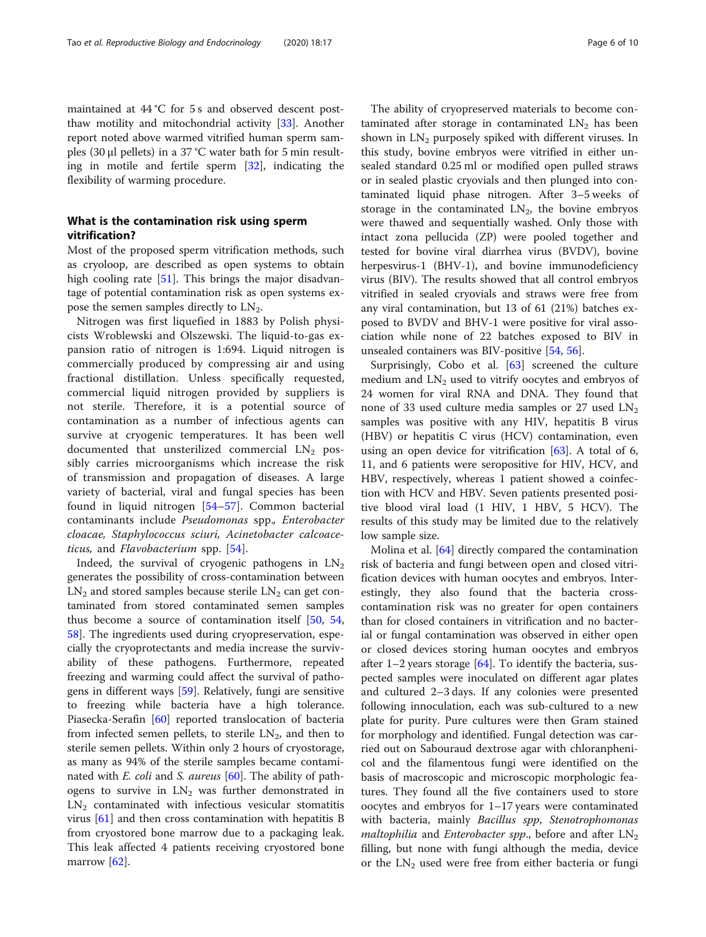maintained at 44 °C for 5 s and observed descent postthaw motility and mitochondrial activity [[33](#page-8-0)]. Another report noted above warmed vitrified human sperm samples (30  $\mu$ l pellets) in a 37 °C water bath for 5 min resulting in motile and fertile sperm [\[32](#page-8-0)], indicating the flexibility of warming procedure.

#### What is the contamination risk using sperm vitrification?

Most of the proposed sperm vitrification methods, such as cryoloop, are described as open systems to obtain high cooling rate [[51](#page-9-0)]. This brings the major disadvantage of potential contamination risk as open systems expose the semen samples directly to  $LN<sub>2</sub>$ .

Nitrogen was first liquefied in 1883 by Polish physicists Wroblewski and Olszewski. The liquid-to-gas expansion ratio of nitrogen is 1:694. Liquid nitrogen is commercially produced by compressing air and using fractional distillation. Unless specifically requested, commercial liquid nitrogen provided by suppliers is not sterile. Therefore, it is a potential source of contamination as a number of infectious agents can survive at cryogenic temperatures. It has been well documented that unsterilized commercial  $LN<sub>2</sub>$  possibly carries microorganisms which increase the risk of transmission and propagation of diseases. A large variety of bacterial, viral and fungal species has been found in liquid nitrogen [\[54](#page-9-0)–[57\]](#page-9-0). Common bacterial contaminants include Pseudomonas spp., Enterobacter cloacae, Staphylococcus sciuri, Acinetobacter calcoaceticus, and Flavobacterium spp. [[54\]](#page-9-0).

Indeed, the survival of cryogenic pathogens in  $LN<sub>2</sub>$ generates the possibility of cross-contamination between  $LN<sub>2</sub>$  and stored samples because sterile  $LN<sub>2</sub>$  can get contaminated from stored contaminated semen samples thus become a source of contamination itself [[50](#page-9-0), [54](#page-9-0), [58\]](#page-9-0). The ingredients used during cryopreservation, especially the cryoprotectants and media increase the survivability of these pathogens. Furthermore, repeated freezing and warming could affect the survival of pathogens in different ways [\[59](#page-9-0)]. Relatively, fungi are sensitive to freezing while bacteria have a high tolerance. Piasecka-Serafin [[60\]](#page-9-0) reported translocation of bacteria from infected semen pellets, to sterile  $LN_2$ , and then to sterile semen pellets. Within only 2 hours of cryostorage, as many as 94% of the sterile samples became contaminated with *E. coli* and *S. aureus* [[60](#page-9-0)]. The ability of pathogens to survive in  $LN_2$  was further demonstrated in  $LN<sub>2</sub>$  contaminated with infectious vesicular stomatitis virus [[61\]](#page-9-0) and then cross contamination with hepatitis B from cryostored bone marrow due to a packaging leak. This leak affected 4 patients receiving cryostored bone marrow [[62\]](#page-9-0).

The ability of cryopreserved materials to become contaminated after storage in contaminated  $LN<sub>2</sub>$  has been shown in  $LN_2$  purposely spiked with different viruses. In this study, bovine embryos were vitrified in either unsealed standard 0.25 ml or modified open pulled straws or in sealed plastic cryovials and then plunged into contaminated liquid phase nitrogen. After 3–5 weeks of storage in the contaminated  $LN<sub>2</sub>$ , the bovine embryos were thawed and sequentially washed. Only those with intact zona pellucida (ZP) were pooled together and tested for bovine viral diarrhea virus (BVDV), bovine herpesvirus-1 (BHV-1), and bovine immunodeficiency virus (BIV). The results showed that all control embryos vitrified in sealed cryovials and straws were free from any viral contamination, but 13 of 61 (21%) batches exposed to BVDV and BHV-1 were positive for viral association while none of 22 batches exposed to BIV in unsealed containers was BIV-positive [\[54](#page-9-0), [56\]](#page-9-0).

Surprisingly, Cobo et al. [[63\]](#page-9-0) screened the culture medium and  $LN_2$  used to vitrify oocytes and embryos of 24 women for viral RNA and DNA. They found that none of 33 used culture media samples or 27 used  $LN<sub>2</sub>$ samples was positive with any HIV, hepatitis B virus (HBV) or hepatitis C virus (HCV) contamination, even using an open device for vitrification  $[63]$  $[63]$ . A total of 6, 11, and 6 patients were seropositive for HIV, HCV, and HBV, respectively, whereas 1 patient showed a coinfection with HCV and HBV. Seven patients presented positive blood viral load (1 HIV, 1 HBV, 5 HCV). The results of this study may be limited due to the relatively low sample size.

Molina et al. [[64](#page-9-0)] directly compared the contamination risk of bacteria and fungi between open and closed vitrification devices with human oocytes and embryos. Interestingly, they also found that the bacteria crosscontamination risk was no greater for open containers than for closed containers in vitrification and no bacterial or fungal contamination was observed in either open or closed devices storing human oocytes and embryos after 1–2 years storage [[64\]](#page-9-0). To identify the bacteria, suspected samples were inoculated on different agar plates and cultured 2–3 days. If any colonies were presented following innoculation, each was sub-cultured to a new plate for purity. Pure cultures were then Gram stained for morphology and identified. Fungal detection was carried out on Sabouraud dextrose agar with chloranphenicol and the filamentous fungi were identified on the basis of macroscopic and microscopic morphologic features. They found all the five containers used to store oocytes and embryos for 1–17 years were contaminated with bacteria, mainly Bacillus spp, Stenotrophomonas *maltophilia* and *Enterobacter spp.*, before and after  $LN<sub>2</sub>$ filling, but none with fungi although the media, device or the  $LN_2$  used were free from either bacteria or fungi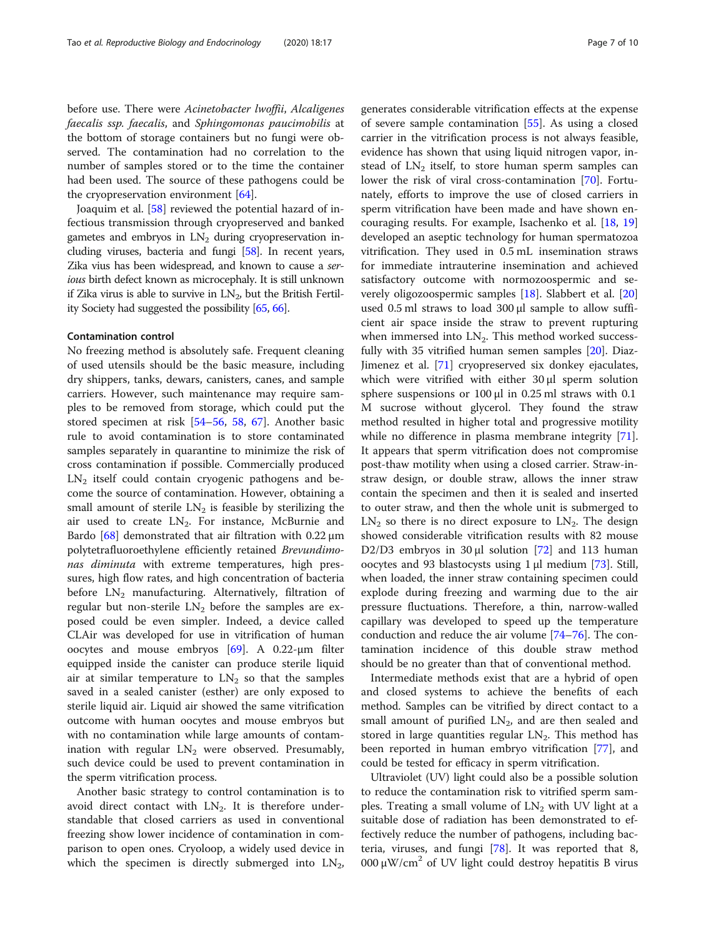before use. There were Acinetobacter lwoffii, Alcaligenes faecalis ssp. faecalis, and Sphingomonas paucimobilis at the bottom of storage containers but no fungi were observed. The contamination had no correlation to the number of samples stored or to the time the container had been used. The source of these pathogens could be the cryopreservation environment  $[64]$  $[64]$ .

Joaquim et al. [[58](#page-9-0)] reviewed the potential hazard of infectious transmission through cryopreserved and banked gametes and embryos in  $LN<sub>2</sub>$  during cryopreservation including viruses, bacteria and fungi [\[58](#page-9-0)]. In recent years, Zika vius has been widespread, and known to cause a serious birth defect known as microcephaly. It is still unknown if Zika virus is able to survive in  $LN_2$ , but the British Fertility Society had suggested the possibility [\[65](#page-9-0), [66](#page-9-0)].

#### Contamination control

No freezing method is absolutely safe. Frequent cleaning of used utensils should be the basic measure, including dry shippers, tanks, dewars, canisters, canes, and sample carriers. However, such maintenance may require samples to be removed from storage, which could put the stored specimen at risk [[54](#page-9-0)–[56](#page-9-0), [58,](#page-9-0) [67](#page-9-0)]. Another basic rule to avoid contamination is to store contaminated samples separately in quarantine to minimize the risk of cross contamination if possible. Commercially produced  $LN<sub>2</sub>$  itself could contain cryogenic pathogens and become the source of contamination. However, obtaining a small amount of sterile  $LN<sub>2</sub>$  is feasible by sterilizing the air used to create  $LN_2$ . For instance, McBurnie and Bardo  $[68]$  $[68]$  $[68]$  demonstrated that air filtration with 0.22  $\mu$ m polytetrafluoroethylene efficiently retained Brevundimonas diminuta with extreme temperatures, high pressures, high flow rates, and high concentration of bacteria before  $LN_2$  manufacturing. Alternatively, filtration of regular but non-sterile  $LN_2$  before the samples are exposed could be even simpler. Indeed, a device called CLAir was developed for use in vitrification of human oocytes and mouse embryos [\[69](#page-9-0)]. A 0.22-μm filter equipped inside the canister can produce sterile liquid air at similar temperature to  $LN<sub>2</sub>$  so that the samples saved in a sealed canister (esther) are only exposed to sterile liquid air. Liquid air showed the same vitrification outcome with human oocytes and mouse embryos but with no contamination while large amounts of contamination with regular  $LN<sub>2</sub>$  were observed. Presumably, such device could be used to prevent contamination in the sperm vitrification process.

Another basic strategy to control contamination is to avoid direct contact with  $LN_2$ . It is therefore understandable that closed carriers as used in conventional freezing show lower incidence of contamination in comparison to open ones. Cryoloop, a widely used device in which the specimen is directly submerged into  $LN_2$ ,

generates considerable vitrification effects at the expense of severe sample contamination [[55\]](#page-9-0). As using a closed carrier in the vitrification process is not always feasible, evidence has shown that using liquid nitrogen vapor, instead of  $LN<sub>2</sub>$  itself, to store human sperm samples can lower the risk of viral cross-contamination [\[70](#page-9-0)]. Fortunately, efforts to improve the use of closed carriers in sperm vitrification have been made and have shown encouraging results. For example, Isachenko et al. [[18,](#page-8-0) [19](#page-8-0)] developed an aseptic technology for human spermatozoa vitrification. They used in 0.5 mL insemination straws for immediate intrauterine insemination and achieved satisfactory outcome with normozoospermic and severely oligozoospermic samples [\[18](#page-8-0)]. Slabbert et al. [[20](#page-8-0)] used 0.5 ml straws to load 300 μl sample to allow sufficient air space inside the straw to prevent rupturing when immersed into  $LN<sub>2</sub>$ . This method worked successfully with 35 vitrified human semen samples [[20\]](#page-8-0). Diaz-Jimenez et al. [[71\]](#page-9-0) cryopreserved six donkey ejaculates, which were vitrified with either 30 μl sperm solution sphere suspensions or 100 μl in 0.25 ml straws with 0.1 M sucrose without glycerol. They found the straw method resulted in higher total and progressive motility while no difference in plasma membrane integrity [\[71](#page-9-0)]. It appears that sperm vitrification does not compromise post-thaw motility when using a closed carrier. Straw-instraw design, or double straw, allows the inner straw contain the specimen and then it is sealed and inserted to outer straw, and then the whole unit is submerged to  $LN<sub>2</sub>$  so there is no direct exposure to  $LN<sub>2</sub>$ . The design showed considerable vitrification results with 82 mouse D2/D3 embryos in 30  $\mu$ l solution [[72](#page-9-0)] and 113 human oocytes and 93 blastocysts using 1 μl medium [[73\]](#page-9-0). Still, when loaded, the inner straw containing specimen could explode during freezing and warming due to the air pressure fluctuations. Therefore, a thin, narrow-walled capillary was developed to speed up the temperature conduction and reduce the air volume [\[74](#page-9-0)–[76\]](#page-9-0). The contamination incidence of this double straw method should be no greater than that of conventional method.

Intermediate methods exist that are a hybrid of open and closed systems to achieve the benefits of each method. Samples can be vitrified by direct contact to a small amount of purified  $LN_2$ , and are then sealed and stored in large quantities regular  $LN<sub>2</sub>$ . This method has been reported in human embryo vitrification [[77\]](#page-9-0), and could be tested for efficacy in sperm vitrification.

Ultraviolet (UV) light could also be a possible solution to reduce the contamination risk to vitrified sperm samples. Treating a small volume of  $LN_2$  with UV light at a suitable dose of radiation has been demonstrated to effectively reduce the number of pathogens, including bacteria, viruses, and fungi [\[78](#page-9-0)]. It was reported that 8, 000  $\mu$ W/cm<sup>2</sup> of UV light could destroy hepatitis B virus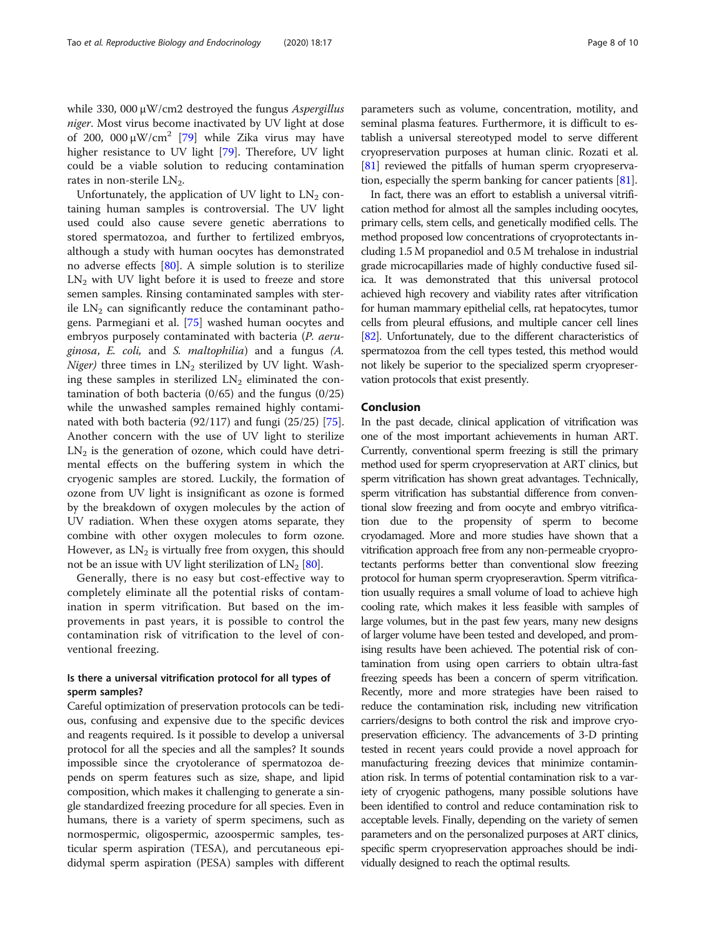while 330, 000 μW/cm2 destroyed the fungus Aspergillus niger. Most virus become inactivated by UV light at dose of 200, 000 μW/cm<sup>2</sup> [[79\]](#page-9-0) while Zika virus may have higher resistance to UV light [[79\]](#page-9-0). Therefore, UV light could be a viable solution to reducing contamination rates in non-sterile  $LN<sub>2</sub>$ .

Unfortunately, the application of UV light to  $LN<sub>2</sub>$  containing human samples is controversial. The UV light used could also cause severe genetic aberrations to stored spermatozoa, and further to fertilized embryos, although a study with human oocytes has demonstrated no adverse effects [[80](#page-9-0)]. A simple solution is to sterilize  $LN<sub>2</sub>$  with UV light before it is used to freeze and store semen samples. Rinsing contaminated samples with sterile  $LN_2$  can significantly reduce the contaminant pathogens. Parmegiani et al. [\[75\]](#page-9-0) washed human oocytes and embryos purposely contaminated with bacteria (P. aeruginosa, E. coli, and S. maltophilia) and a fungus (A. Niger) three times in  $LN_2$  sterilized by UV light. Washing these samples in sterilized  $LN_2$  eliminated the contamination of both bacteria (0/65) and the fungus (0/25) while the unwashed samples remained highly contaminated with both bacteria (92/117) and fungi (25/25) [\[75](#page-9-0)]. Another concern with the use of UV light to sterilize  $LN<sub>2</sub>$  is the generation of ozone, which could have detrimental effects on the buffering system in which the cryogenic samples are stored. Luckily, the formation of ozone from UV light is insignificant as ozone is formed by the breakdown of oxygen molecules by the action of UV radiation. When these oxygen atoms separate, they combine with other oxygen molecules to form ozone. However, as  $LN_2$  is virtually free from oxygen, this should not be an issue with UV light sterilization of  $LN_2$  [[80](#page-9-0)].

Generally, there is no easy but cost-effective way to completely eliminate all the potential risks of contamination in sperm vitrification. But based on the improvements in past years, it is possible to control the contamination risk of vitrification to the level of conventional freezing.

### Is there a universal vitrification protocol for all types of sperm samples?

Careful optimization of preservation protocols can be tedious, confusing and expensive due to the specific devices and reagents required. Is it possible to develop a universal protocol for all the species and all the samples? It sounds impossible since the cryotolerance of spermatozoa depends on sperm features such as size, shape, and lipid composition, which makes it challenging to generate a single standardized freezing procedure for all species. Even in humans, there is a variety of sperm specimens, such as normospermic, oligospermic, azoospermic samples, testicular sperm aspiration (TESA), and percutaneous epididymal sperm aspiration (PESA) samples with different parameters such as volume, concentration, motility, and seminal plasma features. Furthermore, it is difficult to establish a universal stereotyped model to serve different cryopreservation purposes at human clinic. Rozati et al. [[81](#page-9-0)] reviewed the pitfalls of human sperm cryopreservation, especially the sperm banking for cancer patients [[81\]](#page-9-0).

In fact, there was an effort to establish a universal vitrification method for almost all the samples including oocytes, primary cells, stem cells, and genetically modified cells. The method proposed low concentrations of cryoprotectants including 1.5 M propanediol and 0.5 M trehalose in industrial grade microcapillaries made of highly conductive fused silica. It was demonstrated that this universal protocol achieved high recovery and viability rates after vitrification for human mammary epithelial cells, rat hepatocytes, tumor cells from pleural effusions, and multiple cancer cell lines [[82](#page-9-0)]. Unfortunately, due to the different characteristics of spermatozoa from the cell types tested, this method would not likely be superior to the specialized sperm cryopreservation protocols that exist presently.

#### Conclusion

In the past decade, clinical application of vitrification was one of the most important achievements in human ART. Currently, conventional sperm freezing is still the primary method used for sperm cryopreservation at ART clinics, but sperm vitrification has shown great advantages. Technically, sperm vitrification has substantial difference from conventional slow freezing and from oocyte and embryo vitrification due to the propensity of sperm to become cryodamaged. More and more studies have shown that a vitrification approach free from any non-permeable cryoprotectants performs better than conventional slow freezing protocol for human sperm cryopreseravtion. Sperm vitrification usually requires a small volume of load to achieve high cooling rate, which makes it less feasible with samples of large volumes, but in the past few years, many new designs of larger volume have been tested and developed, and promising results have been achieved. The potential risk of contamination from using open carriers to obtain ultra-fast freezing speeds has been a concern of sperm vitrification. Recently, more and more strategies have been raised to reduce the contamination risk, including new vitrification carriers/designs to both control the risk and improve cryopreservation efficiency. The advancements of 3-D printing tested in recent years could provide a novel approach for manufacturing freezing devices that minimize contamination risk. In terms of potential contamination risk to a variety of cryogenic pathogens, many possible solutions have been identified to control and reduce contamination risk to acceptable levels. Finally, depending on the variety of semen parameters and on the personalized purposes at ART clinics, specific sperm cryopreservation approaches should be individually designed to reach the optimal results.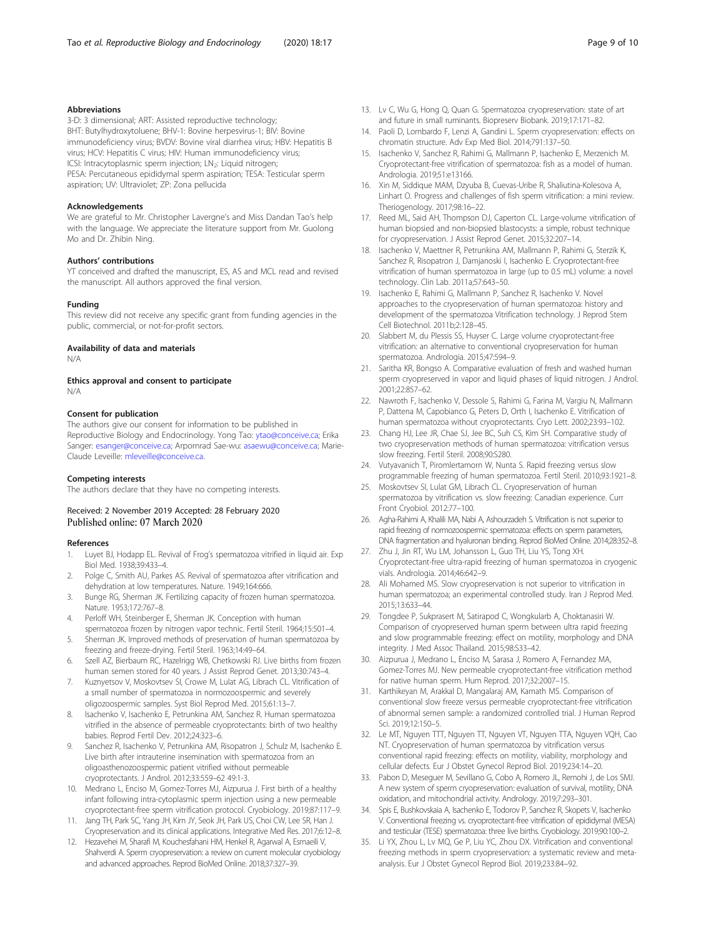#### <span id="page-8-0"></span>Abbreviations

3-D: 3 dimensional; ART: Assisted reproductive technology; BHT: Butylhydroxytoluene; BHV-1: Bovine herpesvirus-1; BIV: Bovine immunodeficiency virus; BVDV: Bovine viral diarrhea virus; HBV: Hepatitis B virus; HCV: Hepatitis C virus; HIV: Human immunodeficiency virus; ICSI: Intracytoplasmic sperm injection; LN<sub>2</sub>: Liquid nitrogen; PESA: Percutaneous epididymal sperm aspiration; TESA: Testicular sperm aspiration; UV: Ultraviolet; ZP: Zona pellucida

#### Acknowledgements

We are grateful to Mr. Christopher Lavergne's and Miss Dandan Tao's help with the language. We appreciate the literature support from Mr. Guolong Mo and Dr. Zhibin Ning.

#### Authors' contributions

YT conceived and drafted the manuscript, ES, AS and MCL read and revised the manuscript. All authors approved the final version.

#### Funding

This review did not receive any specific grant from funding agencies in the public, commercial, or not-for-profit sectors.

#### Availability of data and materials

N/A

#### Ethics approval and consent to participate N/A

#### Consent for publication

The authors give our consent for information to be published in Reproductive Biology and Endocrinology. Yong Tao: [ytao@conceive.ca;](mailto:ytao@conceive.ca) Erika Sanger: [esanger@conceive.ca](mailto:esanger@conceive.ca); Arpornrad Sae-wu: [asaewu@conceive.ca](mailto:asaewu@conceive.ca); Marie-Claude Leveille: [mleveille@conceive.ca.](mailto:mleveille@conceive.ca)

#### Competing interests

The authors declare that they have no competing interests.

#### Received: 2 November 2019 Accepted: 28 February 2020 Published online: 07 March 2020

#### References

- 1. Luyet BJ, Hodapp EL. Revival of Frog's spermatozoa vitrified in liquid air. Exp Biol Med. 1938;39:433–4.
- 2. Polge C, Smith AU, Parkes AS. Revival of spermatozoa after vitrification and dehydration at low temperatures. Nature. 1949;164:666.
- Bunge RG, Sherman JK. Fertilizing capacity of frozen human spermatozoa. Nature. 1953;172:767–8.
- 4. Perloff WH, Steinberger E, Sherman JK. Conception with human spermatozoa frozen by nitrogen vapor technic. Fertil Steril. 1964;15:501–4.
- 5. Sherman JK. Improved methods of preservation of human spermatozoa by freezing and freeze-drying. Fertil Steril. 1963;14:49–64.
- 6. Szell AZ, Bierbaum RC, Hazelrigg WB, Chetkowski RJ. Live births from frozen human semen stored for 40 years. J Assist Reprod Genet. 2013;30:743–4.
- 7. Kuznyetsov V, Moskovtsev SI, Crowe M, Lulat AG, Librach CL. Vitrification of a small number of spermatozoa in normozoospermic and severely oligozoospermic samples. Syst Biol Reprod Med. 2015;61:13–7.
- 8. Isachenko V, Isachenko E, Petrunkina AM, Sanchez R. Human spermatozoa vitrified in the absence of permeable cryoprotectants: birth of two healthy babies. Reprod Fertil Dev. 2012;24:323–6.
- Sanchez R, Isachenko V, Petrunkina AM, Risopatron J, Schulz M, Isachenko E. Live birth after intrauterine insemination with spermatozoa from an oligoasthenozoospermic patient vitrified without permeable cryoprotectants. J Androl. 2012;33:559–62 49:1-3.
- 10. Medrano L, Enciso M, Gomez-Torres MJ, Aizpurua J. First birth of a healthy infant following intra-cytoplasmic sperm injection using a new permeable cryoprotectant-free sperm vitrification protocol. Cryobiology. 2019;87:117–9.
- 11. Jang TH, Park SC, Yang JH, Kim JY, Seok JH, Park US, Choi CW, Lee SR, Han J. Cryopreservation and its clinical applications. Integrative Med Res. 2017;6:12–8.
- 12. Hezavehei M, Sharafi M, Kouchesfahani HM, Henkel R, Agarwal A, Esmaeili V, Shahverdi A. Sperm cryopreservation: a review on current molecular cryobiology and advanced approaches. Reprod BioMed Online. 2018;37:327–39.
- 13. Lv C, Wu G, Hong Q, Quan G. Spermatozoa cryopreservation: state of art and future in small ruminants. Biopreserv Biobank. 2019;17:171–82.
- 14. Paoli D, Lombardo F, Lenzi A, Gandini L, Sperm cryopreservation: effects on chromatin structure. Adv Exp Med Biol. 2014;791:137–50.
- 15. Isachenko V, Sanchez R, Rahimi G, Mallmann P, Isachenko E, Merzenich M. Cryoprotectant-free vitrification of spermatozoa: fish as a model of human. Andrologia. 2019;51:e13166.
- 16. Xin M, Siddique MAM, Dzyuba B, Cuevas-Uribe R, Shaliutina-Kolesova A, Linhart O. Progress and challenges of fish sperm vitrification: a mini review. Theriogenology. 2017;98:16–22.
- 17. Reed ML, Said AH, Thompson DJ, Caperton CL. Large-volume vitrification of human biopsied and non-biopsied blastocysts: a simple, robust technique for cryopreservation. J Assist Reprod Genet. 2015;32:207–14.
- 18. Isachenko V, Maettner R, Petrunkina AM, Mallmann P, Rahimi G, Sterzik K, Sanchez R, Risopatron J, Damjanoski I, Isachenko E. Cryoprotectant-free vitrification of human spermatozoa in large (up to 0.5 mL) volume: a novel technology. Clin Lab. 2011a;57:643–50.
- 19. Isachenko E, Rahimi G, Mallmann P, Sanchez R, Isachenko V. Novel approaches to the cryopreservation of human spermatozoa: history and development of the spermatozoa Vitrification technology. J Reprod Stem Cell Biotechnol. 2011b;2:128–45.
- 20. Slabbert M, du Plessis SS, Huyser C. Large volume cryoprotectant-free vitrification: an alternative to conventional cryopreservation for human spermatozoa. Andrologia. 2015;47:594–9.
- 21. Saritha KR, Bongso A. Comparative evaluation of fresh and washed human sperm cryopreserved in vapor and liquid phases of liquid nitrogen. J Androl. 2001;22:857–62.
- 22. Nawroth F, Isachenko V, Dessole S, Rahimi G, Farina M, Vargiu N, Mallmann P, Dattena M, Capobianco G, Peters D, Orth I, Isachenko E. Vitrification of human spermatozoa without cryoprotectants. Cryo Lett. 2002;23:93–102.
- 23. Chang HJ, Lee JR, Chae SJ, Jee BC, Suh CS, Kim SH. Comparative study of two cryopreservation methods of human spermatozoa: vitrification versus slow freezing. Fertil Steril. 2008;90:S280.
- 24. Vutyavanich T, Piromlertamorn W, Nunta S. Rapid freezing versus slow programmable freezing of human spermatozoa. Fertil Steril. 2010;93:1921–8.
- 25. Moskovtsev SI, Lulat GM, Librach CL. Cryopreservation of human spermatozoa by vitrification vs. slow freezing: Canadian experience. Curr Front Cryobiol. 2012:77–100.
- 26. Agha-Rahimi A, Khalili MA, Nabi A, Ashourzadeh S. Vitrification is not superior to rapid freezing of normozoospermic spermatozoa: effects on sperm parameters, DNA fragmentation and hyaluronan binding. Reprod BioMed Online. 2014;28:352–8.
- 27. Zhu J, Jin RT, Wu LM, Johansson L, Guo TH, Liu YS, Tong XH. Cryoprotectant-free ultra-rapid freezing of human spermatozoa in cryogenic vials. Andrologia. 2014;46:642–9.
- 28. Ali Mohamed MS. Slow cryopreservation is not superior to vitrification in human spermatozoa; an experimental controlled study. Iran J Reprod Med. 2015;13:633–44.
- 29. Tongdee P, Sukprasert M, Satirapod C, Wongkularb A, Choktanasiri W. Comparison of cryopreserved human sperm between ultra rapid freezing and slow programmable freezing: effect on motility, morphology and DNA integrity. J Med Assoc Thailand. 2015;98:S33–42.
- 30. Aizpurua J, Medrano L, Enciso M, Sarasa J, Romero A, Fernandez MA, Gomez-Torres MJ. New permeable cryoprotectant-free vitrification method for native human sperm. Hum Reprod. 2017;32:2007–15.
- 31. Karthikeyan M, Arakkal D, Mangalaraj AM, Kamath MS. Comparison of conventional slow freeze versus permeable cryoprotectant-free vitrification of abnormal semen sample: a randomized controlled trial. J Human Reprod Sci. 2019;12:150–5.
- 32. Le MT, Nguyen TTT, Nguyen TT, Nguyen VT, Nguyen TTA, Nguyen VQH, Cao NT. Cryopreservation of human spermatozoa by vitrification versus conventional rapid freezing: effects on motility, viability, morphology and cellular defects. Eur J Obstet Gynecol Reprod Biol. 2019;234:14–20.
- 33. Pabon D, Meseguer M, Sevillano G, Cobo A, Romero JL, Remohi J, de Los SMJ. A new system of sperm cryopreservation: evaluation of survival, motility, DNA oxidation, and mitochondrial activity. Andrology. 2019;7:293–301.
- 34. Spis E, Bushkovskaia A, Isachenko E, Todorov P, Sanchez R, Skopets V, Isachenko V. Conventional freezing vs. cryoprotectant-free vitrification of epididymal (MESA) and testicular (TESE) spermatozoa: three live births. Cryobiology. 2019;90:100–2.
- 35. Li YX, Zhou L, Lv MQ, Ge P, Liu YC, Zhou DX. Vitrification and conventional freezing methods in sperm cryopreservation: a systematic review and metaanalysis. Eur J Obstet Gynecol Reprod Biol. 2019;233:84–92.